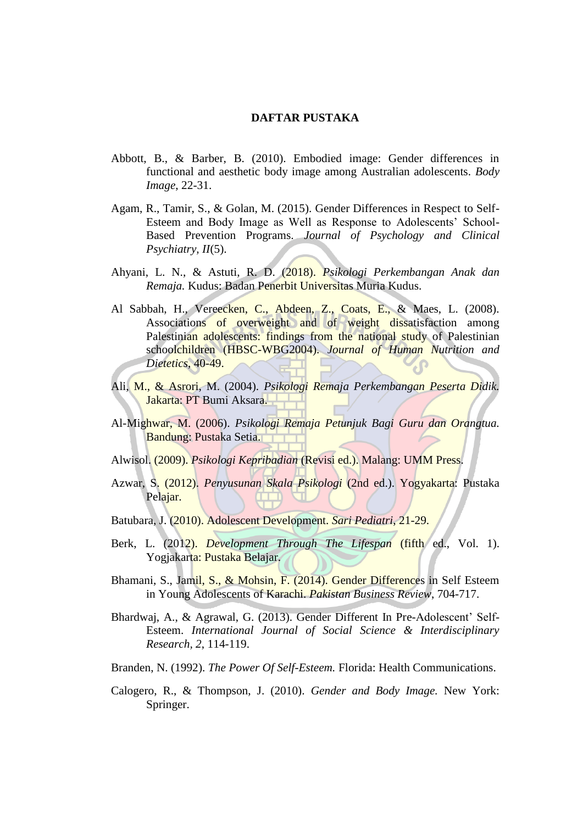## **DAFTAR PUSTAKA**

- Abbott, B., & Barber, B. (2010). Embodied image: Gender differences in functional and aesthetic body image among Australian adolescents. *Body Image*, 22-31.
- Agam, R., Tamir, S., & Golan, M. (2015). Gender Differences in Respect to Self-Esteem and Body Image as Well as Response to Adolescents' School-Based Prevention Programs. *Journal of Psychology and Clinical Psychiatry, II*(5).
- Ahyani, L. N., & Astuti, R. D. (2018). *Psikologi Perkembangan Anak dan Remaja.* Kudus: Badan Penerbit Universitas Muria Kudus.
- Al Sabbah, H., Vereecken, C., Abdeen, Z., Coats, E., & Maes, L. (2008). Associations of overweight and of weight dissatisfaction among Palestinian adolescents: findings from the national study of Palestinian schoolchildren (HBSC-WBG2004). *Journal of Human Nutrition and Dietetics*, 40-49.
- Ali, M., & Asrori, M. (2004). *Psikologi Remaja Perkembangan Peserta Didik.* Jakarta: PT Bumi Aksara.
- Al-Mighwar, M. (2006). *Psikologi Remaja Petunjuk Bagi Guru dan Orangtua.* Bandung: Pustaka Setia.
- Alwisol. (2009). *Psikologi Kepribadian* (Revisi ed.). Malang: UMM Press.
- Azwar, S. (2012). *Penyusunan Skala Psikologi* (2nd ed.). Yogyakarta: Pustaka Pelajar.
- Batubara, J. (2010). Adolescent Development. *Sari Pediatri*, 21-29.
- Berk, L. (2012). *Development Through The Lifespan* (fifth ed., Vol. 1). Yogjakarta: Pustaka Belajar.
- Bhamani, S., Jamil, S., & Mohsin, F. (2014). Gender Differences in Self Esteem in Young Adolescents of Karachi. *Pakistan Business Review*, 704-717.
- Bhardwaj, A., & Agrawal, G. (2013). Gender Different In Pre-Adolescent' Self-Esteem. *International Journal of Social Science & Interdisciplinary Research, 2*, 114-119.
- Branden, N. (1992). *The Power Of Self-Esteem.* Florida: Health Communications.
- Calogero, R., & Thompson, J. (2010). *Gender and Body Image.* New York: Springer.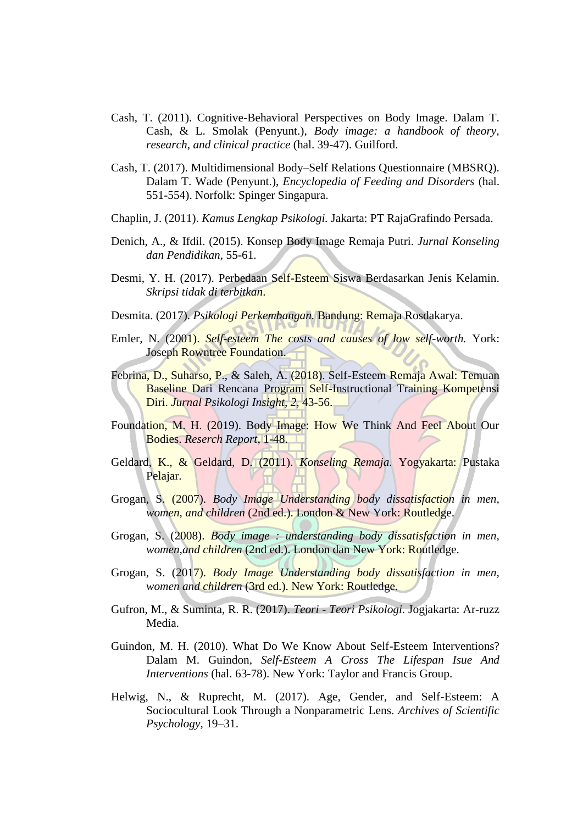- Cash, T. (2011). Cognitive-Behavioral Perspectives on Body Image. Dalam T. Cash, & L. Smolak (Penyunt.), *Body image: a handbook of theory, research, and clinical practice* (hal. 39-47). Guilford.
- Cash, T. (2017). Multidimensional Body–Self Relations Questionnaire (MBSRQ). Dalam T. Wade (Penyunt.), *Encyclopedia of Feeding and Disorders* (hal. 551-554). Norfolk: Spinger Singapura.
- Chaplin, J. (2011). *Kamus Lengkap Psikologi.* Jakarta: PT RajaGrafindo Persada.
- Denich, A., & Ifdil. (2015). Konsep Body Image Remaja Putri. *Jurnal Konseling dan Pendidikan*, 55-61.
- Desmi, Y. H. (2017). Perbedaan Self-Esteem Siswa Berdasarkan Jenis Kelamin. *Skripsi tidak di terbitkan*.
- Desmita. (2017). *Psikologi Perkembangan.* Bandung: Remaja Rosdakarya.
- Emler, N. (2001). *Self-esteem The costs and causes of low self-worth.* York: Joseph Rowntree Foundation.
- Febrina, D., Suharso, P., & Saleh, A. (2018). Self-Esteem Remaja Awal: Temuan Baseline Dari Rencana Program Self-Instructional Training Kompetensi Diri. *Jurnal Psikologi Insight, 2*, 43-56.
- Foundation, M. H. (2019). Body Image: How We Think And Feel About Our Bodies. *Reserch Report*, 1-48.
- Geldard, K., & Geldard, D. (2011). *Konseling Remaja.* Yogyakarta: Pustaka Pelajar.
- Grogan, S. (2007). *Body Image Understanding body dissatisfaction in men, women, and children* (2nd ed.). London & New York: Routledge.
- Grogan, S. (2008). *Body image : understanding body dissatisfaction in men, women,and children* (2nd ed.). London dan New York: Routledge.
- Grogan, S. (2017). *Body Image Understanding body dissatisfaction in men, women and children* (3rd ed.). New York: Routledge.
- Gufron, M., & Suminta, R. R. (2017). *Teori - Teori Psikologi.* Jogjakarta: Ar-ruzz Media.
- Guindon, M. H. (2010). What Do We Know About Self-Esteem Interventions? Dalam M. Guindon, *Self-Esteem A Cross The Lifespan Isue And Interventions* (hal. 63-78). New York: Taylor and Francis Group.
- Helwig, N., & Ruprecht, M. (2017). Age, Gender, and Self-Esteem: A Sociocultural Look Through a Nonparametric Lens. *Archives of Scientific Psychology*, 19–31.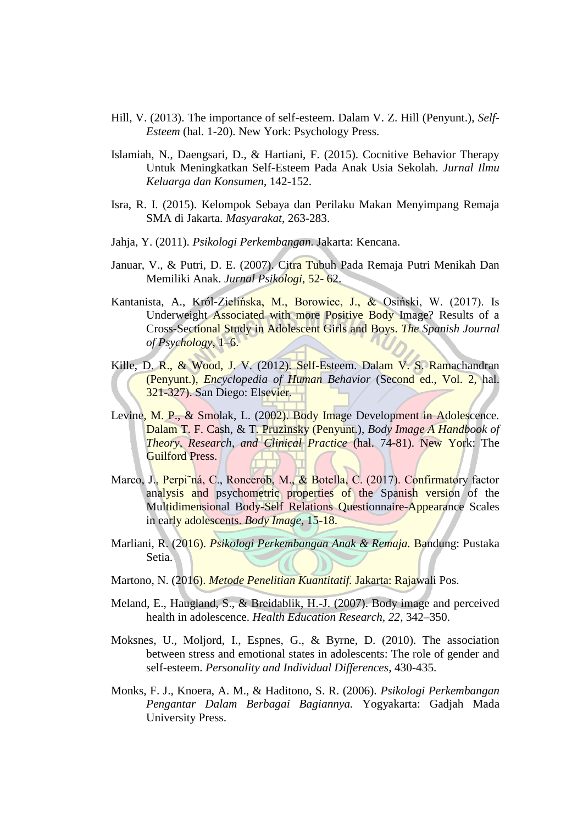- Hill, V. (2013). The importance of self-esteem. Dalam V. Z. Hill (Penyunt.), *Self-Esteem* (hal. 1-20). New York: Psychology Press.
- Islamiah, N., Daengsari, D., & Hartiani, F. (2015). Cocnitive Behavior Therapy Untuk Meningkatkan Self-Esteem Pada Anak Usia Sekolah. *Jurnal Ilmu Keluarga dan Konsumen*, 142-152.
- Isra, R. I. (2015). Kelompok Sebaya dan Perilaku Makan Menyimpang Remaja SMA di Jakarta. *Masyarakat*, 263-283.
- Jahja, Y. (2011). *Psikologi Perkembangan.* Jakarta: Kencana.
- Januar, V., & Putri, D. E. (2007). Citra Tubuh Pada Remaja Putri Menikah Dan Memiliki Anak. *Jurnal Psikologi*, 52- 62.
- Kantanista, A., Król-Zielińska, M., Borowiec, J., & Osiński, W. (2017). Is Underweight Associated with more Positive Body Image? Results of a Cross-Sectional Study in Adolescent Girls and Boys. *The Spanish Journal of Psychology*, 1–6.
- Kille, D. R., & Wood, J. V. (2012). Self-Esteem. Dalam V. S. Ramachandran (Penyunt.), *Encyclopedia of Human Behavior* (Second ed., Vol. 2, hal. 321-327). San Diego: Elsevier.
- Levine, M. P., & Smolak, L. (2002). Body Image Development in Adolescence. Dalam T. F. Cash, & T. Pruzinsky (Penyunt.), *Body Image A Handbook of Theory, Research, and Clinical Practice* (hal. 74-81). New York: The Guilford Press.
- Marco, J., Perpi˜ná, C., Roncerob, M., & Botella, C. (2017). Confirmatory factor analysis and psychometric properties of the Spanish version of the Multidimensional Body-Self Relations Questionnaire-Appearance Scales in early adolescents. *Body Image*, 15-18.
- Marliani, R. (2016). *Psikologi Perkembangan Anak & Remaja.* Bandung: Pustaka Setia.
- Martono, N. (2016). *Metode Penelitian Kuantitatif.* Jakarta: Rajawali Pos.
- Meland, E., Haugland, S., & Breidablik, H.-J. (2007). Body image and perceived health in adolescence. *Health Education Research, 22*, 342–350.
- Moksnes, U., Moljord, I., Espnes, G., & Byrne, D. (2010). The association between stress and emotional states in adolescents: The role of gender and self-esteem. *Personality and Individual Differences*, 430-435.
- Monks, F. J., Knoera, A. M., & Haditono, S. R. (2006). *Psikologi Perkembangan Pengantar Dalam Berbagai Bagiannya.* Yogyakarta: Gadjah Mada University Press.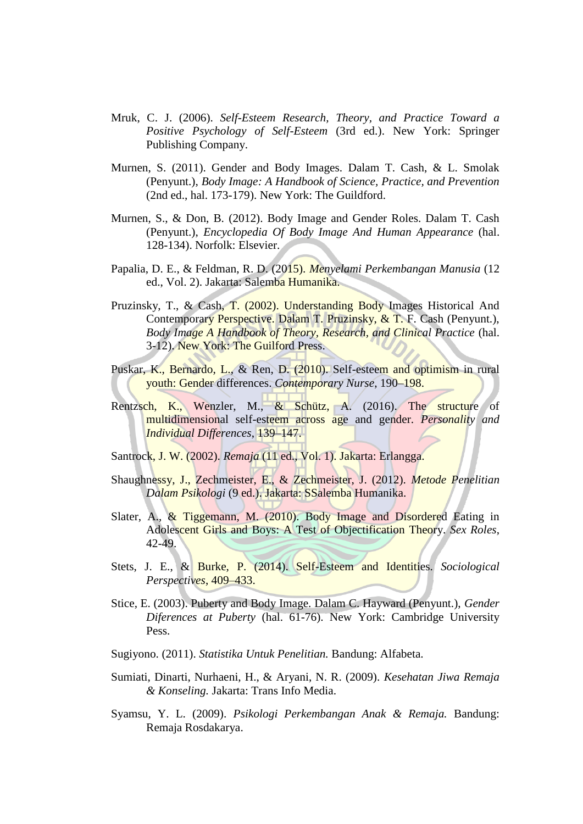- Mruk, C. J. (2006). *Self-Esteem Research, Theory, and Practice Toward a Positive Psychology of Self-Esteem* (3rd ed.). New York: Springer Publishing Company.
- Murnen, S. (2011). Gender and Body Images. Dalam T. Cash, & L. Smolak (Penyunt.), *Body Image: A Handbook of Science, Practice, and Prevention* (2nd ed., hal. 173-179). New York: The Guildford.
- Murnen, S., & Don, B. (2012). Body Image and Gender Roles. Dalam T. Cash (Penyunt.), *Encyclopedia Of Body Image And Human Appearance* (hal. 128-134). Norfolk: Elsevier.
- Papalia, D. E., & Feldman, R. D. (2015). *Menyelami Perkembangan Manusia* (12 ed., Vol. 2). Jakarta: Salemba Humanika.
- Pruzinsky, T., & Cash, T. (2002). Understanding Body Images Historical And Contemporary Perspective. Dalam T. Pruzinsky, & T. F. Cash (Penyunt.), *Body Image A Handbook of Theory, Research, and Clinical Practice* (hal. 3-12). New York: The Guilford Press.
- Puskar, K., Bernardo, L., & Ren, D. (2010). Self-esteem and optimism in rural youth: Gender differences. *Contemporary Nurse*, 190–198.
- Rentzsch, K., Wenzler, M., & Schütz, A. (2016). The structure of multidimensional self-esteem across age and gender. *Personality and Individual Differences*, 139–147.
- Santrock, J. W. (2002). *Remaja* (11 ed., Vol. 1). Jakarta: Erlangga.
- Shaughnessy, J., Zechmeister, E., & Zechmeister, J. (2012). *Metode Penelitian Dalam Psikologi* (9 ed.). Jakarta: SSalemba Humanika.
- Slater, A., & Tiggemann, M. (2010). Body Image and Disordered Eating in Adolescent Girls and Boys: A Test of Objectification Theory. *Sex Roles*, 42-49.
- Stets, J. E., & Burke, P. (2014). Self-Esteem and Identities. *Sociological Perspectives*, 409–433.
- Stice, E. (2003). Puberty and Body Image. Dalam C. Hayward (Penyunt.), *Gender Diferences at Puberty* (hal. 61-76). New York: Cambridge University Pess.
- Sugiyono. (2011). *Statistika Untuk Penelitian.* Bandung: Alfabeta.
- Sumiati, Dinarti, Nurhaeni, H., & Aryani, N. R. (2009). *Kesehatan Jiwa Remaja & Konseling.* Jakarta: Trans Info Media.
- Syamsu, Y. L. (2009). *Psikologi Perkembangan Anak & Remaja.* Bandung: Remaja Rosdakarya.